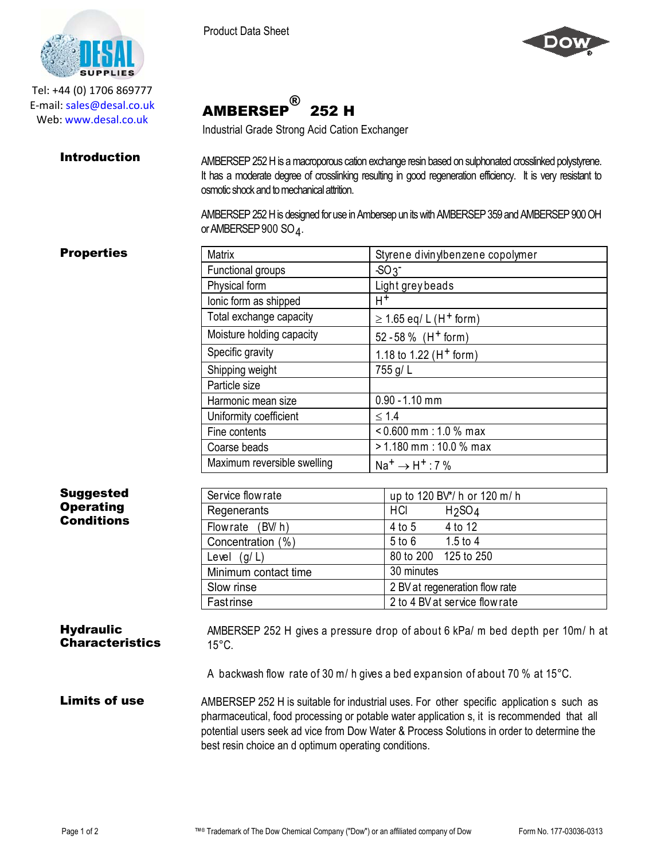

Tel: +44 (0) 1706 869777 E‐mail: sales@desal.co.uk Web: www.desal.co.uk



AMBERSEP ® 252 H

Industrial Grade Strong Acid Cation Exchanger

**Introduction** AMBERSEP 252 H is a macroporous cation exchange resin based on sulphonated crosslinked polystyrene. It has a moderate degree of crosslinking resulting in good regeneration efficiency. It is very resistant to osmotic shock and to mechanical attrition.

> AMBERSEP 252 H is designed for use in Ambersep un its with AMBERSEP 359 and AMBERSEP 900 OH or AMBERSEP 900 SO  $_4$  .

## **Properties**

| <b>Matrix</b>               | Styrene divinylbenzene copolymer        |
|-----------------------------|-----------------------------------------|
| Functional groups           | $-SO3$                                  |
| Physical form               | Light grey beads                        |
| lonic form as shipped       | $H^+$                                   |
| Total exchange capacity     | $\geq$ 1.65 eq/ L (H <sup>+</sup> form) |
| Moisture holding capacity   | 52 - 58 % (H <sup>+</sup> form)         |
| Specific gravity            | 1.18 to 1.22 ( $H+$ form)               |
| Shipping weight             | 755 g/L                                 |
| Particle size               |                                         |
| Harmonic mean size          | $0.90 - 1.10$ mm                        |
| Uniformity coefficient      | $\leq 1.4$                              |
| Fine contents               | $< 0.600$ mm : 1.0 % max                |
| Coarse beads                | $>$ 1.180 mm : 10.0 % max               |
| Maximum reversible swelling | $Na^+ \rightarrow H^+$ : 7 %            |

| <b>Suggested</b>                      | Service flow rate    | up to 120 BV*/ h or 120 m/ h          |
|---------------------------------------|----------------------|---------------------------------------|
| <b>Operating</b><br><b>Conditions</b> | Regenerants          | HCI<br>H <sub>2</sub> SO <sub>4</sub> |
|                                       | Flowrate (BV/h)      | 4 to 12<br>4 to 5                     |
|                                       | Concentration (%)    | 1.5 to 4<br>$5$ to $6$                |
|                                       | Level $(g/L)$        | 80 to 200<br>125 to 250               |
|                                       | Minimum contact time | 30 minutes                            |
|                                       | Slow rinse           | 2 BV at regeneration flow rate        |
|                                       | Fastrinse            | 2 to 4 BV at service flow rate        |

## **Hydraulic Characteristics** AMBERSEP 252 H gives a pressure drop of about 6 kPa/ m bed depth per 10m/ h at 15°C.

A backwash flow rate of 30 m/ h gives a bed expansion of about 70 % at 15°C.

Limits of use AMBERSEP 252 H is suitable for industrial uses. For other specific application s such as pharmaceutical, food processing or potable water application s, it is recommended that all potential users seek ad vice from Dow Water & Process Solutions in order to determine the best resin choice an d optimum operating conditions.